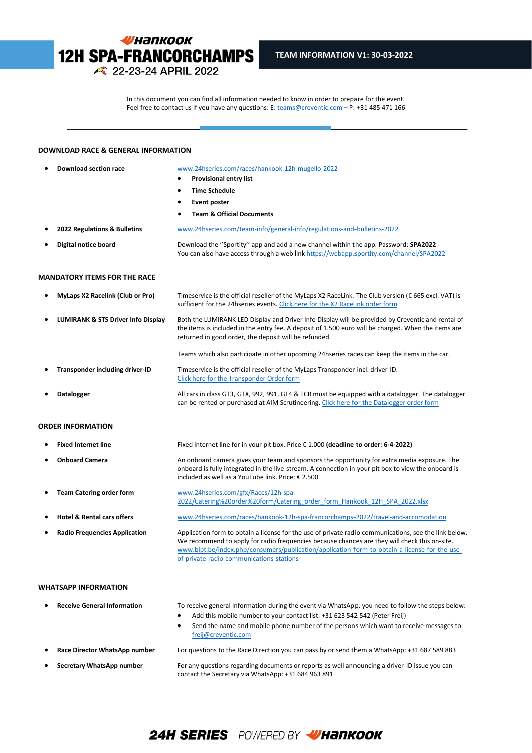

In this document you can find all information needed to know in order to prepare for the event. Feel free to contact us if you have any questions: E[: teams@creventic.com](mailto:teams@creventic.com) – P: +31 485 471 166

l

#### **DOWNLOAD RACE & GENERAL INFORMATION**

| <b>Team &amp; Official Documents</b><br>www.24hseries.com/team-info/general-info/regulations-and-bulletins-2022<br>Download the "Sportity" app and add a new channel within the app. Password: SPA2022<br>You can also have access through a web link https://webapp.sportity.com/channel/SPA2022<br>Timeservice is the official reseller of the MyLaps X2 RaceLink. The Club version (€ 665 excl. VAT) is<br>sufficient for the 24hseries events. Click here for the X2 Racelink order form<br>Both the LUMIRANK LED Display and Driver Info Display will be provided by Creventic and rental of<br>the items is included in the entry fee. A deposit of 1.500 euro will be charged. When the items are<br>returned in good order, the deposit will be refunded. |
|-------------------------------------------------------------------------------------------------------------------------------------------------------------------------------------------------------------------------------------------------------------------------------------------------------------------------------------------------------------------------------------------------------------------------------------------------------------------------------------------------------------------------------------------------------------------------------------------------------------------------------------------------------------------------------------------------------------------------------------------------------------------|
|                                                                                                                                                                                                                                                                                                                                                                                                                                                                                                                                                                                                                                                                                                                                                                   |
|                                                                                                                                                                                                                                                                                                                                                                                                                                                                                                                                                                                                                                                                                                                                                                   |
|                                                                                                                                                                                                                                                                                                                                                                                                                                                                                                                                                                                                                                                                                                                                                                   |
|                                                                                                                                                                                                                                                                                                                                                                                                                                                                                                                                                                                                                                                                                                                                                                   |
|                                                                                                                                                                                                                                                                                                                                                                                                                                                                                                                                                                                                                                                                                                                                                                   |
|                                                                                                                                                                                                                                                                                                                                                                                                                                                                                                                                                                                                                                                                                                                                                                   |
|                                                                                                                                                                                                                                                                                                                                                                                                                                                                                                                                                                                                                                                                                                                                                                   |
|                                                                                                                                                                                                                                                                                                                                                                                                                                                                                                                                                                                                                                                                                                                                                                   |
|                                                                                                                                                                                                                                                                                                                                                                                                                                                                                                                                                                                                                                                                                                                                                                   |
| Teams which also participate in other upcoming 24hseries races can keep the items in the car.                                                                                                                                                                                                                                                                                                                                                                                                                                                                                                                                                                                                                                                                     |
| Timeservice is the official reseller of the MyLaps Transponder incl. driver-ID.<br>Click here for the Transponder Order form                                                                                                                                                                                                                                                                                                                                                                                                                                                                                                                                                                                                                                      |
| All cars in class GT3, GTX, 992, 991, GT4 & TCR must be equipped with a datalogger. The datalogger<br>can be rented or purchased at AIM Scrutineering. Click here for the Datalogger order form                                                                                                                                                                                                                                                                                                                                                                                                                                                                                                                                                                   |
|                                                                                                                                                                                                                                                                                                                                                                                                                                                                                                                                                                                                                                                                                                                                                                   |
| Fixed internet line for in your pit box. Price € 1.000 (deadline to order: 6-4-2022)                                                                                                                                                                                                                                                                                                                                                                                                                                                                                                                                                                                                                                                                              |
| An onboard camera gives your team and sponsors the opportunity for extra media exposure. The<br>onboard is fully integrated in the live-stream. A connection in your pit box to view the onboard is<br>included as well as a YouTube link. Price: € 2.500                                                                                                                                                                                                                                                                                                                                                                                                                                                                                                         |
| www.24hseries.com/gfx/Races/12h-spa-<br>2022/Catering%20order%20form/Catering order form Hankook 12H SPA 2022.xlsx                                                                                                                                                                                                                                                                                                                                                                                                                                                                                                                                                                                                                                                |
|                                                                                                                                                                                                                                                                                                                                                                                                                                                                                                                                                                                                                                                                                                                                                                   |
| www.24hseries.com/races/hankook-12h-spa-francorchamps-2022/travel-and-accomodation                                                                                                                                                                                                                                                                                                                                                                                                                                                                                                                                                                                                                                                                                |
|                                                                                                                                                                                                                                                                                                                                                                                                                                                                                                                                                                                                                                                                                                                                                                   |

- **Receive General Information** To receive general information during the event via WhatsApp, you need to follow the steps below: • Add this mobile number to your contact list: +31 623 542 542 (Peter Freij)
	- Send the name and mobile phone number of the persons which want to receive messages to [freij@creventic.com](mailto:freij@creventic.com)
- 
- 

• **Race Director WhatsApp number** For questions to the Race Direction you can pass by or send them a WhatsApp: +31 687 589 883

• **Secretary WhatsApp number** For any questions regarding documents or reports as well announcing a driver-ID issue you can contact the Secretary via WhatsApp: +31 684 963 891

# 24H SERIES POWERED BY WHANKOOK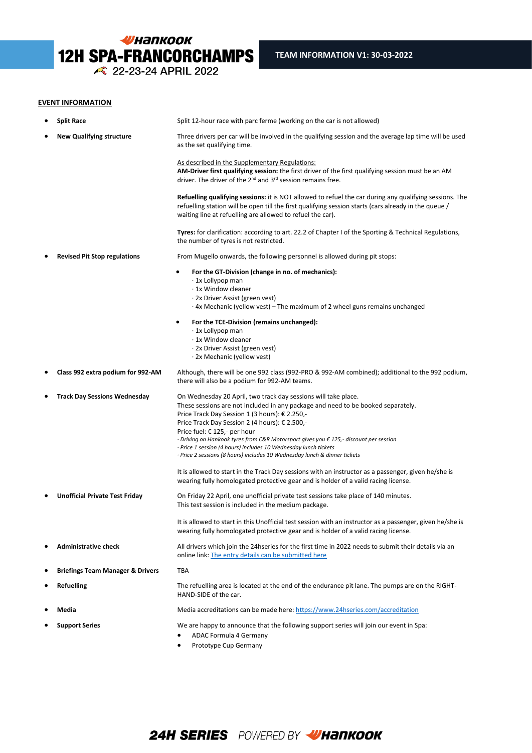

## **EVENT INFORMATION**

| ٠ | <b>Split Race</b>                           | Split 12-hour race with parc ferme (working on the car is not allowed)                                                                                                                                                                                                                                                                                                                                                                                                                                                                         |
|---|---------------------------------------------|------------------------------------------------------------------------------------------------------------------------------------------------------------------------------------------------------------------------------------------------------------------------------------------------------------------------------------------------------------------------------------------------------------------------------------------------------------------------------------------------------------------------------------------------|
|   | <b>New Qualifying structure</b>             | Three drivers per car will be involved in the qualifying session and the average lap time will be used<br>as the set qualifying time.                                                                                                                                                                                                                                                                                                                                                                                                          |
|   |                                             | As described in the Supplementary Regulations:<br>AM-Driver first qualifying session: the first driver of the first qualifying session must be an AM<br>driver. The driver of the 2 <sup>nd</sup> and 3 <sup>rd</sup> session remains free.                                                                                                                                                                                                                                                                                                    |
|   |                                             | <b>Refuelling qualifying sessions:</b> it is NOT allowed to refuel the car during any qualifying sessions. The<br>refuelling station will be open till the first qualifying session starts (cars already in the queue /<br>waiting line at refuelling are allowed to refuel the car).                                                                                                                                                                                                                                                          |
|   |                                             | Tyres: for clarification: according to art. 22.2 of Chapter I of the Sporting & Technical Regulations,<br>the number of tyres is not restricted.                                                                                                                                                                                                                                                                                                                                                                                               |
|   | <b>Revised Pit Stop regulations</b>         | From Mugello onwards, the following personnel is allowed during pit stops:                                                                                                                                                                                                                                                                                                                                                                                                                                                                     |
|   |                                             | For the GT-Division (change in no. of mechanics):<br>· 1x Lollypop man<br>· 1x Window cleaner<br>· 2x Driver Assist (green vest)<br>$\cdot$ 4x Mechanic (yellow vest) – The maximum of 2 wheel guns remains unchanged                                                                                                                                                                                                                                                                                                                          |
|   |                                             | For the TCE-Division (remains unchanged):<br>٠<br>$\cdot$ 1x Lollypop man<br>· 1x Window cleaner<br>· 2x Driver Assist (green vest)<br>· 2x Mechanic (yellow vest)                                                                                                                                                                                                                                                                                                                                                                             |
|   | Class 992 extra podium for 992-AM           | Although, there will be one 992 class (992-PRO & 992-AM combined); additional to the 992 podium,<br>there will also be a podium for 992-AM teams.                                                                                                                                                                                                                                                                                                                                                                                              |
|   | <b>Track Day Sessions Wednesday</b>         | On Wednesday 20 April, two track day sessions will take place.<br>These sessions are not included in any package and need to be booked separately.<br>Price Track Day Session 1 (3 hours): € 2.250,-<br>Price Track Day Session 2 (4 hours): € 2.500,-<br>Price fuel: € 125,- per hour<br>$\cdot$ Driving on Hankook tyres from C&R Motorsport gives you $\epsilon$ 125,- discount per session<br>· Price 1 session (4 hours) includes 10 Wednesday lunch tickets<br>· Price 2 sessions (8 hours) includes 10 Wednesday lunch & dinner tickets |
|   |                                             | It is allowed to start in the Track Day sessions with an instructor as a passenger, given he/she is<br>wearing fully homologated protective gear and is holder of a valid racing license.                                                                                                                                                                                                                                                                                                                                                      |
|   | <b>Unofficial Private Test Friday</b>       | On Friday 22 April, one unofficial private test sessions take place of 140 minutes.<br>This test session is included in the medium package.                                                                                                                                                                                                                                                                                                                                                                                                    |
|   |                                             | It is allowed to start in this Unofficial test session with an instructor as a passenger, given he/she is<br>wearing fully homologated protective gear and is holder of a valid racing license.                                                                                                                                                                                                                                                                                                                                                |
|   | <b>Administrative check</b>                 | All drivers which join the 24hseries for the first time in 2022 needs to submit their details via an<br>online link: The entry details can be submitted here                                                                                                                                                                                                                                                                                                                                                                                   |
| ٠ | <b>Briefings Team Manager &amp; Drivers</b> | TBA                                                                                                                                                                                                                                                                                                                                                                                                                                                                                                                                            |
|   | <b>Refuelling</b>                           | The refuelling area is located at the end of the endurance pit lane. The pumps are on the RIGHT-<br>HAND-SIDE of the car.                                                                                                                                                                                                                                                                                                                                                                                                                      |
|   | Media                                       | Media accreditations can be made here: https://www.24hseries.com/accreditation                                                                                                                                                                                                                                                                                                                                                                                                                                                                 |
|   | <b>Support Series</b>                       | We are happy to announce that the following support series will join our event in Spa:<br>ADAC Formula 4 Germany                                                                                                                                                                                                                                                                                                                                                                                                                               |

l

• Prototype Cup Germany

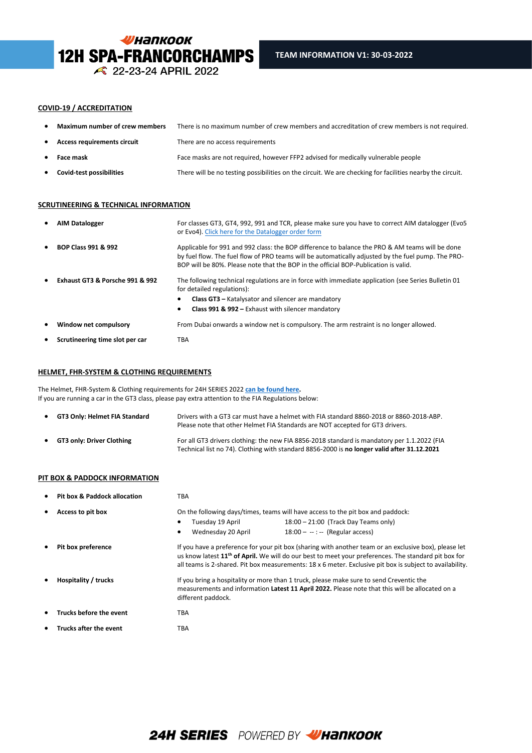

#### **COVID-19 / ACCREDITATION**

| ٠         | Maximum number of crew members     | There is no maximum number of crew members and accreditation of crew members is not required.             |
|-----------|------------------------------------|-----------------------------------------------------------------------------------------------------------|
|           | <b>Access requirements circuit</b> | There are no access requirements                                                                          |
|           | <b>Face mask</b>                   | Face masks are not required, however FFP2 advised for medically vulnerable people                         |
| $\bullet$ | <b>Covid-test possibilities</b>    | There will be no testing possibilities on the circuit. We are checking for facilities nearby the circuit. |

## **SCRUTINEERING & TECHNICAL INFORMATION**

| $\bullet$ | <b>AIM Datalogger</b>           | For classes GT3, GT4, 992, 991 and TCR, please make sure you have to correct AIM datalogger (Evo5<br>or Evo4). Click here for the Datalogger order form                                                                                                                                      |
|-----------|---------------------------------|----------------------------------------------------------------------------------------------------------------------------------------------------------------------------------------------------------------------------------------------------------------------------------------------|
| $\bullet$ | <b>BOP Class 991 &amp; 992</b>  | Applicable for 991 and 992 class: the BOP difference to balance the PRO & AM teams will be done<br>by fuel flow. The fuel flow of PRO teams will be automatically adjusted by the fuel pump. The PRO-<br>BOP will be 80%. Please note that the BOP in the official BOP-Publication is valid. |
|           | Exhaust GT3 & Porsche 991 & 992 | The following technical regulations are in force with immediate application (see Series Bulletin 01<br>for detailed regulations):                                                                                                                                                            |
|           |                                 | <b>Class GT3</b> – Katalysator and silencer are mandatory                                                                                                                                                                                                                                    |
|           |                                 | <b>Class 991 &amp; 992 - Exhaust with silencer mandatory</b>                                                                                                                                                                                                                                 |
| $\bullet$ | Window net compulsory           | From Dubai onwards a window net is compulsory. The arm restraint is no longer allowed.                                                                                                                                                                                                       |
|           | Scrutineering time slot per car | TBA                                                                                                                                                                                                                                                                                          |

## **HELMET, FHR-SYSTEM & CLOTHING REQUIREMENTS**

The Helmet, FHR-System & Clothing requirements for 24H SERIES 2022 **[can be found here.](https://www.24hseries.com/gfx/General%20Downloads/2022%20Regulations/Helmet_and_Hans_AND_Clothing_check_SERIES_2022_version_20-10-2021.pdf)**  If you are running a car in the GT3 class, please pay extra attention to the FIA Regulations below:

| $\bullet$ | GT3 Only: Helmet FIA Standard | Drivers with a GT3 car must have a helmet with FIA standard 8860-2018 or 8860-2018-ABP.<br>Please note that other Helmet FIA Standards are NOT accepted for GT3 drivers.                   |
|-----------|-------------------------------|--------------------------------------------------------------------------------------------------------------------------------------------------------------------------------------------|
| $\bullet$ | GT3 only: Driver Clothing     | For all GT3 drivers clothing: the new FIA 8856-2018 standard is mandatory per 1.1.2022 (FIA<br>Technical list no 74). Clothing with standard 8856-2000 is no longer valid after 31.12.2021 |

## **PIT BOX & PADDOCK INFORMATION**

| ٠ | <b>Pit box &amp; Paddock allocation</b> | TBA                                                                                                                                                                                                                                                                                                                                   |
|---|-----------------------------------------|---------------------------------------------------------------------------------------------------------------------------------------------------------------------------------------------------------------------------------------------------------------------------------------------------------------------------------------|
| ٠ | Access to pit box                       | On the following days/times, teams will have access to the pit box and paddock:                                                                                                                                                                                                                                                       |
|   |                                         | Tuesday 19 April<br>$18:00 - 21:00$ (Track Day Teams only)                                                                                                                                                                                                                                                                            |
|   |                                         | Wednesday 20 April<br>$18:00 - -$ : -- (Regular access)<br>٠                                                                                                                                                                                                                                                                          |
| ٠ | Pit box preference                      | If you have a preference for your pit box (sharing with another team or an exclusive box), please let<br>us know latest 11 <sup>th</sup> of April. We will do our best to meet your preferences. The standard pit box for<br>all teams is 2-shared. Pit box measurements: 18 x 6 meter. Exclusive pit box is subject to availability. |
|   | Hospitality / trucks                    | If you bring a hospitality or more than 1 truck, please make sure to send Creventic the<br>measurements and information Latest 11 April 2022. Please note that this will be allocated on a<br>different paddock.                                                                                                                      |
|   | Trucks before the event                 | <b>TBA</b>                                                                                                                                                                                                                                                                                                                            |
|   | <b>Trucks after the event</b>           | TBA                                                                                                                                                                                                                                                                                                                                   |